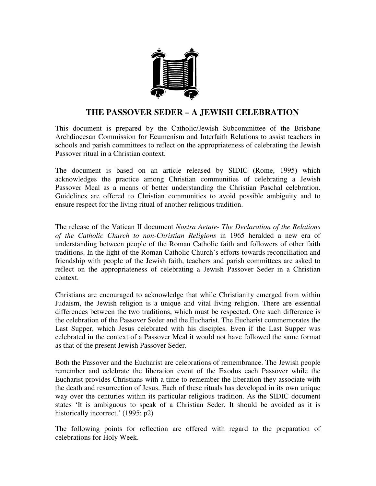

## **THE PASSOVER SEDER – A JEWISH CELEBRATION**

This document is prepared by the Catholic/Jewish Subcommittee of the Brisbane Archdiocesan Commission for Ecumenism and Interfaith Relations to assist teachers in schools and parish committees to reflect on the appropriateness of celebrating the Jewish Passover ritual in a Christian context.

The document is based on an article released by SIDIC (Rome, 1995) which acknowledges the practice among Christian communities of celebrating a Jewish Passover Meal as a means of better understanding the Christian Paschal celebration. Guidelines are offered to Christian communities to avoid possible ambiguity and to ensure respect for the living ritual of another religious tradition.

The release of the Vatican II document *Nostra Aetate*- *The Declaration of the Relations of the Catholic Church to non-Christian Religions* in 1965 heralded a new era of understanding between people of the Roman Catholic faith and followers of other faith traditions. In the light of the Roman Catholic Church's efforts towards reconciliation and friendship with people of the Jewish faith, teachers and parish committees are asked to reflect on the appropriateness of celebrating a Jewish Passover Seder in a Christian context.

Christians are encouraged to acknowledge that while Christianity emerged from within Judaism, the Jewish religion is a unique and vital living religion. There are essential differences between the two traditions, which must be respected. One such difference is the celebration of the Passover Seder and the Eucharist. The Eucharist commemorates the Last Supper, which Jesus celebrated with his disciples. Even if the Last Supper was celebrated in the context of a Passover Meal it would not have followed the same format as that of the present Jewish Passover Seder.

Both the Passover and the Eucharist are celebrations of remembrance. The Jewish people remember and celebrate the liberation event of the Exodus each Passover while the Eucharist provides Christians with a time to remember the liberation they associate with the death and resurrection of Jesus. Each of these rituals has developed in its own unique way over the centuries within its particular religious tradition. As the SIDIC document states 'It is ambiguous to speak of a Christian Seder. It should be avoided as it is historically incorrect.' (1995: p2)

The following points for reflection are offered with regard to the preparation of celebrations for Holy Week.